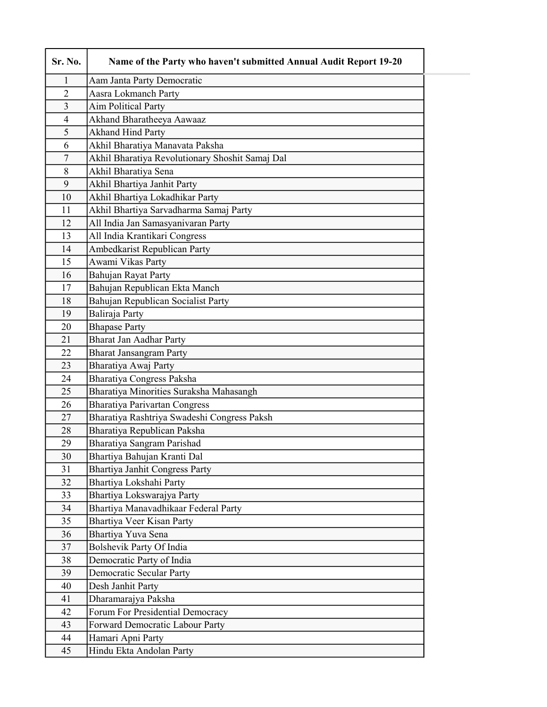| Sr. No.          | Name of the Party who haven't submitted Annual Audit Report 19-20 |  |
|------------------|-------------------------------------------------------------------|--|
| 1                | Aam Janta Party Democratic                                        |  |
| $\overline{2}$   | Aasra Lokmanch Party                                              |  |
| $\overline{3}$   | <b>Aim Political Party</b>                                        |  |
| $\overline{4}$   | Akhand Bharatheeya Aawaaz                                         |  |
| 5                | <b>Akhand Hind Party</b>                                          |  |
| 6                | Akhil Bharatiya Manavata Paksha                                   |  |
| $\boldsymbol{7}$ | Akhil Bharatiya Revolutionary Shoshit Samaj Dal                   |  |
| 8                | Akhil Bharatiya Sena                                              |  |
| 9                | Akhil Bhartiya Janhit Party                                       |  |
| 10               | Akhil Bhartiya Lokadhikar Party                                   |  |
| 11               | Akhil Bhartiya Sarvadharma Samaj Party                            |  |
| 12               | All India Jan Samasyanivaran Party                                |  |
| 13               | All India Krantikari Congress                                     |  |
| 14               | Ambedkarist Republican Party                                      |  |
| 15               | Awami Vikas Party                                                 |  |
| 16               | Bahujan Rayat Party                                               |  |
| 17               | Bahujan Republican Ekta Manch                                     |  |
| 18               | Bahujan Republican Socialist Party                                |  |
| 19               | Baliraja Party                                                    |  |
| 20               | <b>Bhapase Party</b>                                              |  |
| 21               | <b>Bharat Jan Aadhar Party</b>                                    |  |
| 22               | <b>Bharat Jansangram Party</b>                                    |  |
| 23               | Bharatiya Awaj Party                                              |  |
| 24               | Bharatiya Congress Paksha                                         |  |
| 25               | Bharatiya Minorities Suraksha Mahasangh                           |  |
| 26               | <b>Bharatiya Parivartan Congress</b>                              |  |
| 27               | Bharatiya Rashtriya Swadeshi Congress Paksh                       |  |
| 28               | Bharatiya Republican Paksha                                       |  |
| 29               | Bharatiya Sangram Parishad                                        |  |
| 30               | Bhartiya Bahujan Kranti Dal                                       |  |
| 31               | <b>Bhartiya Janhit Congress Party</b>                             |  |
| 32               | Bhartiya Lokshahi Party                                           |  |
| 33               | Bhartiya Lokswarajya Party                                        |  |
| 34               | Bhartiya Manavadhikaar Federal Party                              |  |
| 35               | Bhartiya Veer Kisan Party                                         |  |
| 36               | Bhartiya Yuva Sena                                                |  |
| 37               | Bolshevik Party Of India                                          |  |
| 38               | Democratic Party of India                                         |  |
| 39               | <b>Democratic Secular Party</b>                                   |  |
| 40               | Desh Janhit Party                                                 |  |
| 41               | Dharamarajya Paksha                                               |  |
| 42               | Forum For Presidential Democracy                                  |  |
| 43               | Forward Democratic Labour Party                                   |  |
| 44               | Hamari Apni Party                                                 |  |
| 45               | Hindu Ekta Andolan Party                                          |  |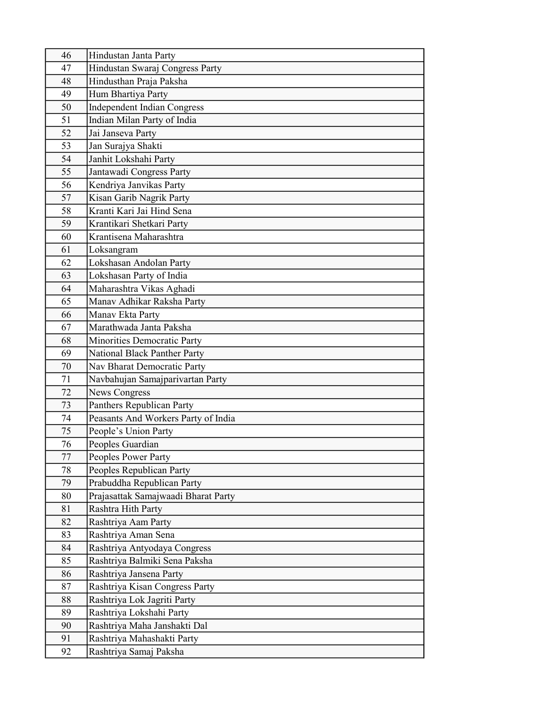| 46       | Hindustan Janta Party                                  |
|----------|--------------------------------------------------------|
| 47       | Hindustan Swaraj Congress Party                        |
| 48       | Hindusthan Praja Paksha                                |
| 49       | Hum Bhartiya Party                                     |
| 50       | <b>Independent Indian Congress</b>                     |
| 51       | Indian Milan Party of India                            |
| 52       | Jai Janseva Party                                      |
| 53       | Jan Surajya Shakti                                     |
| 54       | Janhit Lokshahi Party                                  |
| 55       | Jantawadi Congress Party                               |
| 56       | Kendriya Janvikas Party                                |
| 57       | Kisan Garib Nagrik Party                               |
| 58       | Kranti Kari Jai Hind Sena                              |
| 59       | Krantikari Shetkari Party                              |
| 60       | Krantisena Maharashtra                                 |
| 61       | Loksangram                                             |
| 62       | Lokshasan Andolan Party                                |
| 63       | Lokshasan Party of India                               |
| 64       | Maharashtra Vikas Aghadi                               |
| 65       | Manav Adhikar Raksha Party                             |
| 66       | Manav Ekta Party                                       |
| 67       | Marathwada Janta Paksha                                |
| 68       | Minorities Democratic Party                            |
| 69       | National Black Panther Party                           |
| 70       | Nav Bharat Democratic Party                            |
| 71       | Navbahujan Samajparivartan Party                       |
| 72       | <b>News Congress</b>                                   |
| 73       | Panthers Republican Party                              |
| 74       | Peasants And Workers Party of India                    |
| 75       | People's Union Party                                   |
| 76       | Peoples Guardian                                       |
| 77       | Peoples Power Party                                    |
| 78<br>79 | Peoples Republican Party<br>Prabuddha Republican Party |
| 80       | Prajasattak Samajwaadi Bharat Party                    |
| 81       | Rashtra Hith Party                                     |
| 82       | Rashtriya Aam Party                                    |
| 83       | Rashtriya Aman Sena                                    |
| 84       | Rashtriya Antyodaya Congress                           |
| 85       | Rashtriya Balmiki Sena Paksha                          |
| 86       | Rashtriya Jansena Party                                |
| 87       | Rashtriya Kisan Congress Party                         |
| 88       | Rashtriya Lok Jagriti Party                            |
| 89       | Rashtriya Lokshahi Party                               |
| 90       | Rashtriya Maha Janshakti Dal                           |
| 91       | Rashtriya Mahashakti Party                             |
| 92       | Rashtriya Samaj Paksha                                 |